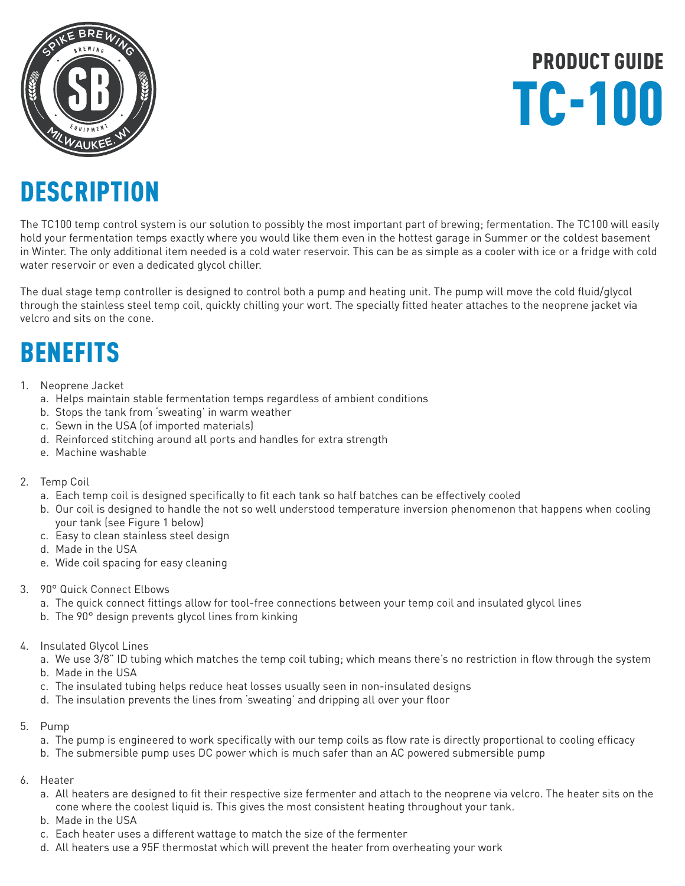

PRODUCT GUIDE TC-100

### **DESCRIPTION**

The TC100 temp control system is our solution to possibly the most important part of brewing; fermentation. The TC100 will easily hold your fermentation temps exactly where you would like them even in the hottest garage in Summer or the coldest basement in Winter. The only additional item needed is a cold water reservoir. This can be as simple as a cooler with ice or a fridge with cold water reservoir or even a dedicated glycol chiller.

The dual stage temp controller is designed to control both a pump and heating unit. The pump will move the cold fluid/glycol through the stainless steel temp coil, quickly chilling your wort. The specially fitted heater attaches to the neoprene jacket via velcro and sits on the cone.

### BENEFITS

- 1. Neoprene Jacket
	- a. Helps maintain stable fermentation temps regardless of ambient conditions
	- b. Stops the tank from 'sweating' in warm weather
	- c. Sewn in the USA (of imported materials)
	- d. Reinforced stitching around all ports and handles for extra strength
	- e. Machine washable
- 2. Temp Coil
	- a. Each temp coil is designed specifically to fit each tank so half batches can be effectively cooled
	- b. Our coil is designed to handle the not so well understood temperature inversion phenomenon that happens when cooling your tank (see Figure 1 below)
	- c. Easy to clean stainless steel design
	- d. Made in the USA
	- e. Wide coil spacing for easy cleaning
- 3. 90° Quick Connect Elbows
	- a. The quick connect fittings allow for tool-free connections between your temp coil and insulated glycol lines
	- b. The 90° design prevents glycol lines from kinking
- 4. Insulated Glycol Lines
	- a. We use 3/8" ID tubing which matches the temp coil tubing; which means there's no restriction in flow through the system b. Made in the USA
	-
	- c. The insulated tubing helps reduce heat losses usually seen in non-insulated designs
	- d. The insulation prevents the lines from 'sweating' and dripping all over your floor
- 5. Pump
	- a. The pump is engineered to work specifically with our temp coils as flow rate is directly proportional to cooling efficacy
	- b. The submersible pump uses DC power which is much safer than an AC powered submersible pump
- 6. Heater
	- a. All heaters are designed to fit their respective size fermenter and attach to the neoprene via velcro. The heater sits on the cone where the coolest liquid is. This gives the most consistent heating throughout your tank.
	- b. Made in the USA
	- c. Each heater uses a different wattage to match the size of the fermenter
	- d. All heaters use a 95F thermostat which will prevent the heater from overheating your work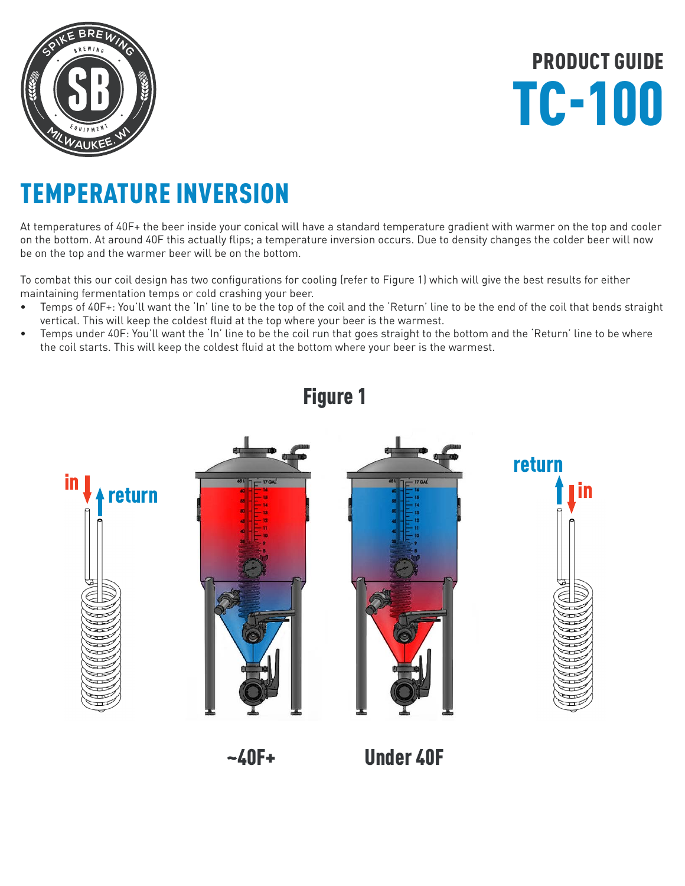

PRODUCT GUIDE TC-100

### TEMPERATURE INVERSION

At temperatures of 40F+ the beer inside your conical will have a standard temperature gradient with warmer on the top and cooler on the bottom. At around 40F this actually flips; a temperature inversion occurs. Due to density changes the colder beer will now be on the top and the warmer beer will be on the bottom.

To combat this our coil design has two configurations for cooling (refer to Figure 1) which will give the best results for either maintaining fermentation temps or cold crashing your beer.

- Temps of 40F+: You'll want the 'In' line to be the top of the coil and the 'Return' line to be the end of the coil that bends straight vertical. This will keep the coldest fluid at the top where your beer is the warmest.
- Temps under 40F: You'll want the 'In' line to be the coil run that goes straight to the bottom and the 'Return' line to be where the coil starts. This will keep the coldest fluid at the bottom where your beer is the warmest.



Figure 1

~40F+ Under 40F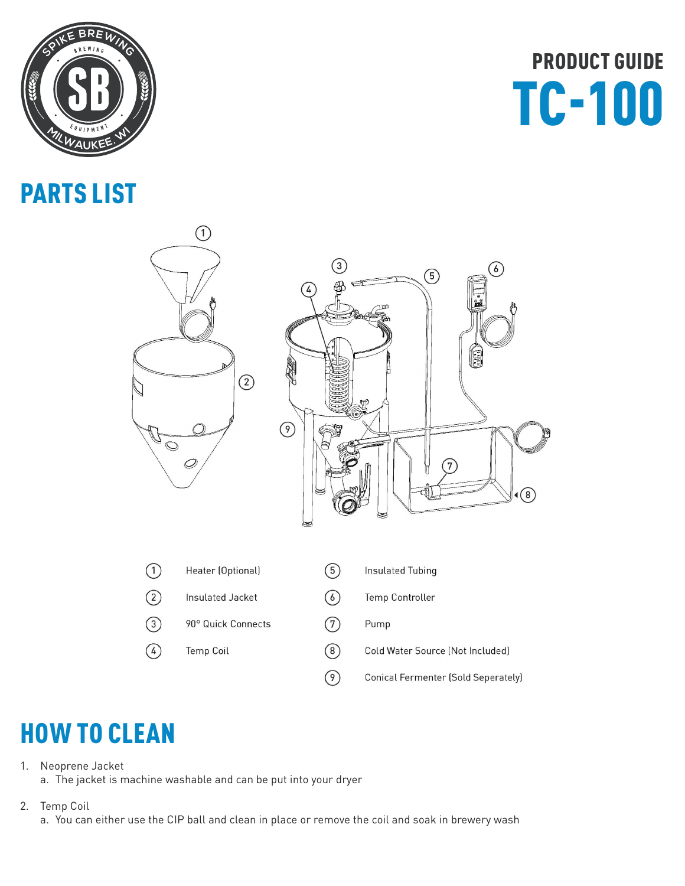

### PARTS LIST

## PRODUCT GUIDE TC-100



### HOW TO CLEAN

1. Neoprene Jacket

a. The jacket is machine washable and can be put into your dryer

2. Temp Coil

a. You can either use the CIP ball and clean in place or remove the coil and soak in brewery wash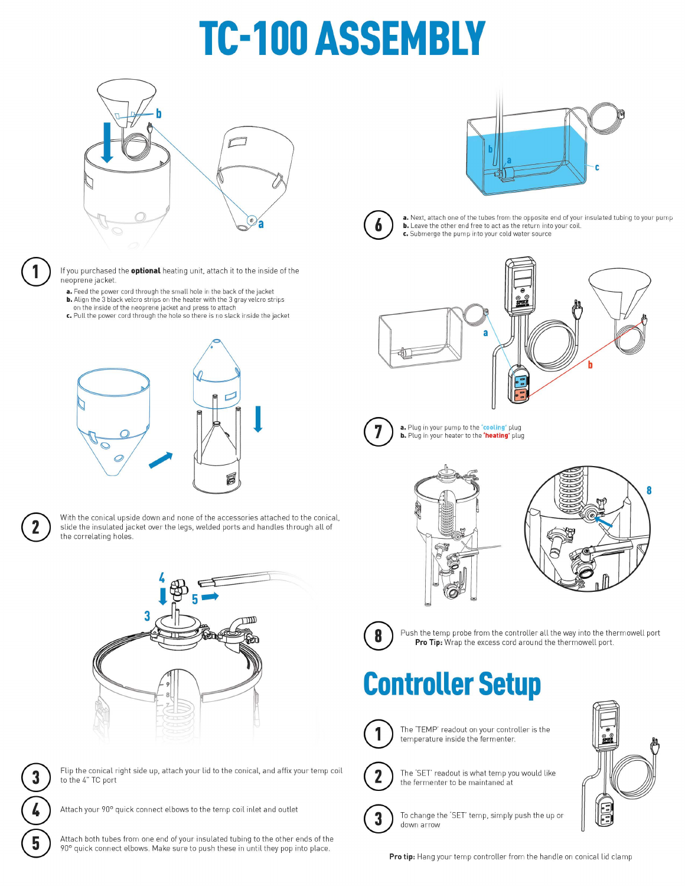# **TC-100 ASSEMBLY**





If you purchased the **optional** heating unit, attach it to the inside of the neoprene jacket.

- a. Feed the power cord through the small hole in the back of the jacket **b.** Align the 3 black velcro strips on the heater with the 3 gray velcro strips on the inside of the neoprene jacket and press to attach
- c. Pull the power cord through the hole so there is no slack inside the jacket





With the conical upside down and none of the accessories attached to the conical, slide the insulated jacket over the legs, welded ports and handles through all of the correlating holes.





Flip the conical right side up, attach your lid to the conical, and affix your temp coil to the 4" TC port

Attach your 90° quick connect elbows to the temp coil inlet and outlet

Attach both tubes from one end of your insulated tubing to the other ends of the 90° quick connect elbows. Make sure to push these in until they pop into place.





a. Next, attach one of the tubes from the opposite end of your insulated tubing to your pump b. Leave the other end free to act as the return into your coil. c. Submerge the pump into your cold water source





a. Plug in your pump to the "cooling" plug b. Plug in your heater to the 'heating' plug







Push the temp probe from the controller all the way into the thermowell port Pro Tip: Wrap the excess cord around the thermowell port.

### **Controller Setup**



The 'TEMP' readout on your controller is the temperature inside the fermenter.



3

down arrow

The 'SET' readout is what temp you would like the fermenter to be maintaned at

To change the 'SET' temp, simply push the up or